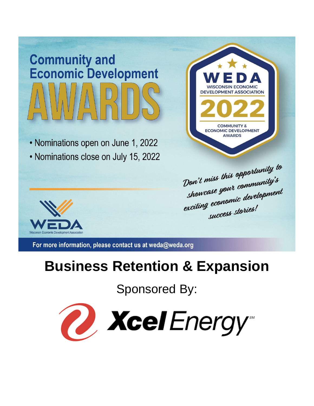# **Community and Economic Development**

• Nominations open on June 1, 2022

• Nominations close on July 15, 2022



Don't miss this opportunity to Don't miss this opper<br>showcase you't community's<br>showcase you't development showcase your community<br>exciting economic development wccess stories!



For more information, please contact us at weda@weda.org

# **Business Retention & Expansion**

Sponsored By:

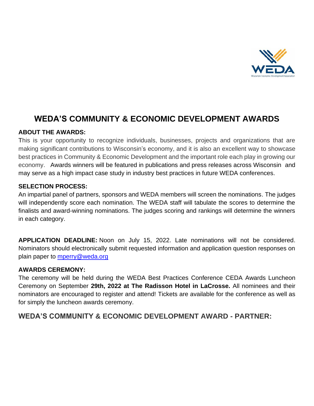

# **WEDA'S COMMUNITY & ECONOMIC DEVELOPMENT AWARDS**

#### **ABOUT THE AWARDS:**

This is your opportunity to recognize individuals, businesses, projects and organizations that are making significant contributions to Wisconsin's economy, and it is also an excellent way to showcase best practices in Community & Economic Development and the important role each play in growing our economy.Awards winners will be featured in publications and press releases across Wisconsin and may serve as a high impact case study in industry best practices in future WEDA conferences.

#### **SELECTION PROCESS:**

An impartial panel of partners, sponsors and WEDA members will screen the nominations. The judges will independently score each nomination. The WEDA staff will tabulate the scores to determine the finalists and award-winning nominations. The judges scoring and rankings will determine the winners in each category.

**APPLICATION DEADLINE:** Noon on July 15, 2022. Late nominations will not be considered. Nominators should electronically submit requested information and application question responses on plain paper to [mperry@weda.org](mailto:mperry@weda.org)

#### **AWARDS CEREMONY:**

The ceremony will be held during the WEDA Best Practices Conference CEDA Awards Luncheon Ceremony on September **29th, 2022 at The Radisson Hotel in LaCrosse.** All nominees and their nominators are encouraged to register and attend! Tickets are available for the conference as well as for simply the luncheon awards ceremony.

**WEDA'S COMMUNITY & ECONOMIC DEVELOPMENT AWARD - PARTNER:**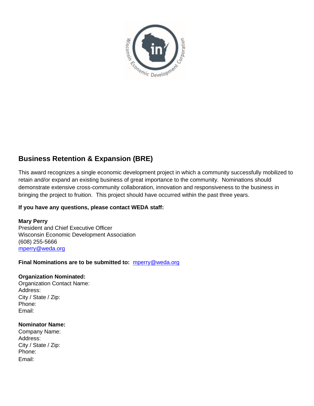

## **Business Retention & Expansion (BRE)**

This award recognizes a single economic development project in which a community successfully mobilized to retain and/or expand an existing business of great importance to the community. Nominations should demonstrate extensive cross-community collaboration, innovation and responsiveness to the business in bringing the project to fruition. This project should have occurred within the past three years.

#### **If you have any questions, please contact WEDA staff:**

**Mary Perry** President and Chief Executive Officer Wisconsin Economic Development Association (608) 255-5666 [mperry@weda.org](mailto:mperry@weda.org)

#### **Final Nominations are to be submitted to:** [mperry@weda.org](mailto:mperry@weda.org)

#### **Organization Nominated:**

Organization Contact Name: Address: City / State / Zip: Phone: Email:

#### **Nominator Name:**

Company Name: Address: City / State / Zip: Phone: Email: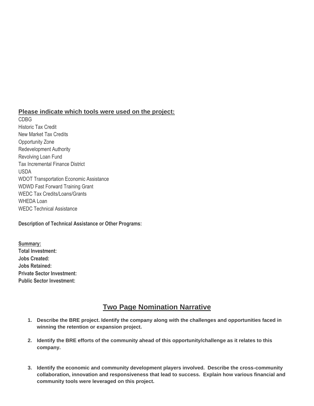#### **Please indicate which tools were used on the project:**

CDBG Historic Tax Credit New Market Tax Credits Opportunity Zone Redevelopment Authority Revolving Loan Fund Tax Incremental Finance District USDA WDOT Transportation Economic Assistance WDWD Fast Forward Training Grant WEDC Tax Credits/Loans/Grants WHEDA Loan WEDC Technical Assistance

#### **Description of Technical Assistance or Other Programs:**

**Summary: Total Investment: Jobs Created: Jobs Retained: Private Sector Investment: Public Sector Investment:**

### **Two Page Nomination Narrative**

- **1. Describe the BRE project. Identify the company along with the challenges and opportunities faced in winning the retention or expansion project.**
- **2. Identify the BRE efforts of the community ahead of this opportunity/challenge as it relates to this company.**
- **3. Identify the economic and community development players involved. Describe the cross-community collaboration, innovation and responsiveness that lead to success. Explain how various financial and community tools were leveraged on this project.**